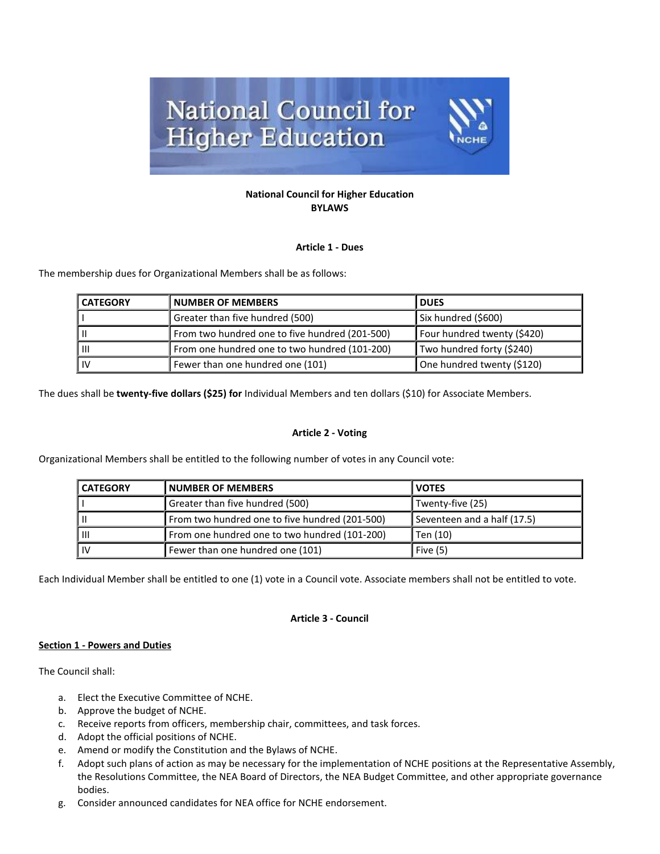

### **National Council for Higher Education BYLAWS**

# **Article 1 - Dues**

The membership dues for Organizational Members shall be as follows:

| <b>CATEGORY</b> | <b>NUMBER OF MEMBERS</b>                       | <b>DUES</b>                 |
|-----------------|------------------------------------------------|-----------------------------|
|                 | Greater than five hundred (500)                | Six hundred (\$600)         |
|                 | From two hundred one to five hundred (201-500) | Four hundred twenty (\$420) |
| Lш              | From one hundred one to two hundred (101-200)  | Two hundred forty (\$240)   |
| 1 IV            | Fewer than one hundred one (101)               | One hundred twenty (\$120)  |

The dues shall be **twenty-five dollars (\$25) for** Individual Members and ten dollars (\$10) for Associate Members.

## **Article 2 - Voting**

Organizational Members shall be entitled to the following number of votes in any Council vote:

| <b>CATEGORY</b> | <b>NUMBER OF MEMBERS</b>                       | <b>VOTES</b>                |
|-----------------|------------------------------------------------|-----------------------------|
|                 | Greater than five hundred (500)                | Twenty-five (25)            |
|                 | From two hundred one to five hundred (201-500) | Seventeen and a half (17.5) |
| IШ              | From one hundred one to two hundred (101-200)  | Ten (10)                    |
| i IV            | Fewer than one hundred one (101)               | Five $(5)$                  |

Each Individual Member shall be entitled to one (1) vote in a Council vote. Associate members shall not be entitled to vote.

#### **Article 3 - Council**

#### **Section 1 - Powers and Duties**

The Council shall:

- a. Elect the Executive Committee of NCHE.
- b. Approve the budget of NCHE.
- c. Receive reports from officers, membership chair, committees, and task forces.
- d. Adopt the official positions of NCHE.
- e. Amend or modify the Constitution and the Bylaws of NCHE.
- f. Adopt such plans of action as may be necessary for the implementation of NCHE positions at the Representative Assembly, the Resolutions Committee, the NEA Board of Directors, the NEA Budget Committee, and other appropriate governance bodies.
- g. Consider announced candidates for NEA office for NCHE endorsement.